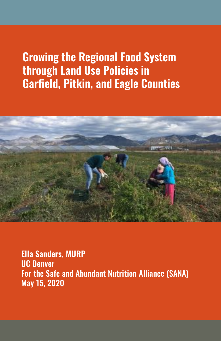**Ella Sanders, MURP** UC Denver For the Safe and Abundant Nutrition Alliance (SANA) May 15, 2020

## **Growing the Regional Food System through Land Use Policies in Garfield, Pitkin, and Eagle Counties**

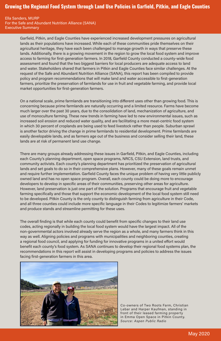## **Growing the Regional Food System through Land Use Policies in Garfield, Pitkin, and Eagle Counties**

Garfield, Pitkin, and Eagle Counties have experienced increased development pressures on agricultural lands as their populations have increased. While each of these communities pride themselves on their agricultural heritage, they have each been challenged to manage growth in ways that preserve these lands. Additionally, there is a growing movement in the region to grow the local food system and improve access to farming for first-generation farmers. In 2018, Garfield County conducted a county-wide food assessment and found that the two biggest barriers for local producers are adequate access to land and water. Stakeholders shared that farmers in Pitkin and Eagle Counties face similar challenges. At the request of the Safe and Abundant Nutrition Alliance (SANA), this report has been compiled to provide policy and program recommendations that will make land and water accessible to first-generation farmers, prioritize the preservation of farmlands for use in fruit and vegetable farming, and provide local market opportunities for first-generation farmers.

On a national scale, prime farmlands are transitioning into different uses other than growing food. This is concerning because prime farmlands are naturally occurring and a limited resource. Farms have become much larger over the past 30 years, due to the consolidation of land, mechanization of agriculture, and use of monoculture farming. These new trends in farming have led to new environmental issues, such as increased soil erosion and reduced water quality, and are facilitating a more meat-centric food system in which 30 percent of croplands are being used to feed livestock rather than people. Suburban sprawl is another factor driving the change in prime farmlands to residential development. Prime farmlands are easily developable lands, and as farmers age out of the business and consider selling their land, these lands are at risk of permanent land use change.

There are many groups already addressing these issues in Garfield, Pitkin, and Eagle Counties, including each County's planning department, open space programs, NRCS, CSU Extension, land trusts, and community activists. Each county's planning department has prioritized the preservation of agricultural lands and set goals to do so in their comprehensive plans. However, many of these goals remain unmet and require further implementation. Garfield County faces the unique problem of having very little publicly owned land and has no open space program. Overall, each county could be doing more to encourage developers to develop in specific areas of their communities, preserving other areas for agriculture. However, land preservation is just one part of the solution. Programs that encourage fruit and vegetable farming specifically and those that support the economic development of the local food system still need to be developed. Pitkin County is the only county to distinguish farming from agriculture in their Code, and all three counties could include more specific language in their Codes to legitimize farmers' markets and produce stands and streamline permitting for these uses.

The overall finding is that while each county could benefit from specific changes to their land use codes, acting regionally in building the local food system would have the largest impact. All of the non-governmental actors involved already serve the region as a whole, and many farmers think in this way as well. Aligning policies and programs with municipalities and neighboring counties, creating a regional food council, and applying for funding for innovative programs in a united effort would benefit each county's food system. As SANA continues to develop their regional food systems plan, the

recommendations in this report will assist in developing programs and policies to address the issues facing first-generation farmers in this area.



Co-owners of Two Roots Farm, Christian Lebar and Harper Kaufman, standing in front of their leased farming property in Emma Open Space in Pitkin County. *Source: Aspen Public Radio*

Ella Sanders, MURP For the Safe and Abundant Nutrition Alliance (SANA) Executive Summary